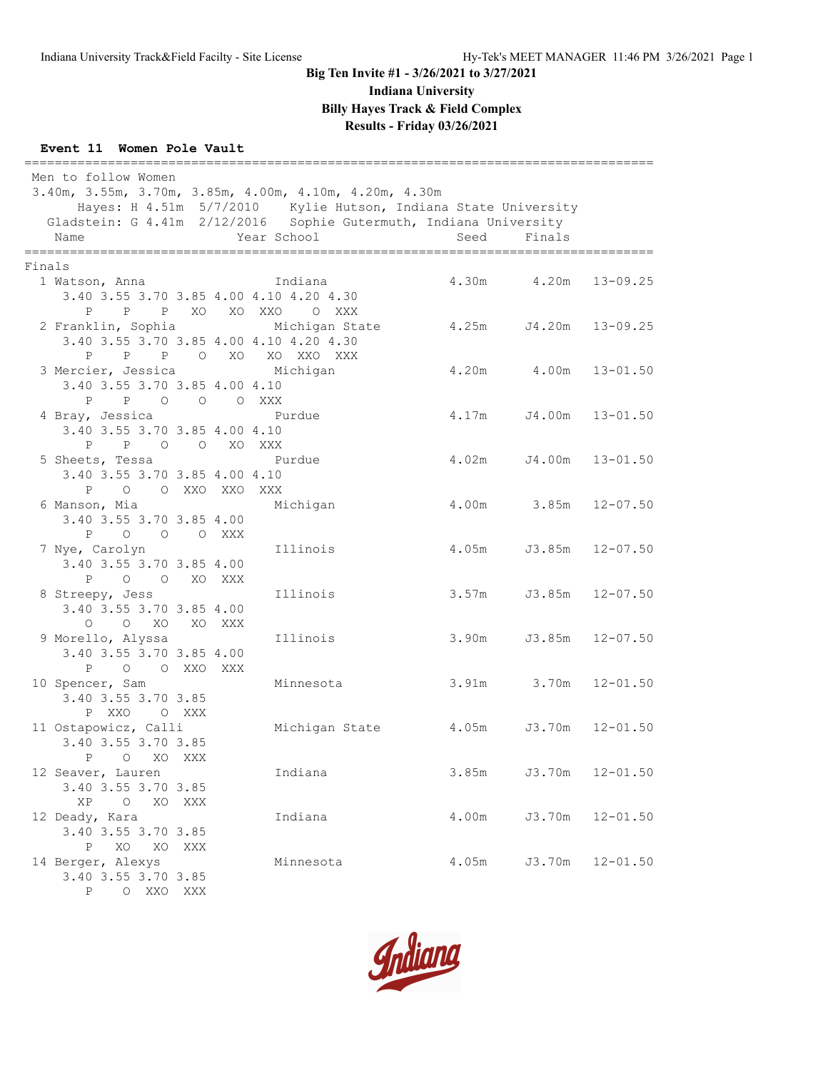**Indiana University**

**Billy Hayes Track & Field Complex**

# **Results - Friday 03/26/2021**

#### **Event 11 Women Pole Vault**

=================================================================================== Men to follow Women 3.40m, 3.55m, 3.70m, 3.85m, 4.00m, 4.10m, 4.20m, 4.30m Hayes: H 4.51m 5/7/2010 Kylie Hutson, Indiana State University Gladstein: G 4.41m 2/12/2016 Sophie Gutermuth, Indiana University Name Year School Seed Finals =================================================================================== Finals 1 Watson, Anna Indiana 4.30m 4.20m 13-09.25 3.40 3.55 3.70 3.85 4.00 4.10 4.20 4.30 P P P XO XO XXO O XXX 22 Franklin, South Michigan State 4.25m J4.20m 13-09.25 3.40 3.55 3.70 3.85 4.00 4.10 4.20 4.30 P P P O XO XO XXO XXX<br>3 Mercier, Jessica Michigan 3 Michigan 4.20m 4.00m 13-01.50 3.40 3.55 3.70 3.85 4.00 4.10 P P O O O XXX<br>4 Bray, Jessica Pu Purdue 4.17m J4.00m 13-01.50 3.40 3.55 3.70 3.85 4.00 4.10 P P O O XO XXX<br>5 Sheets, Tessa Pl Purdue 4.02m J4.00m 13-01.50 3.40 3.55 3.70 3.85 4.00 4.10 P O O XXO XXO XXX Michigan 4.00m 3.85m 12-07.50 3.40 3.55 3.70 3.85 4.00 P O O O XXX<br>7 Nye, Carolyn 7 Nye, Carolyn Illinois 4.05m J3.85m 12-07.50 3.40 3.55 3.70 3.85 4.00 P O O XO XXX<br>8 Streepy, Jess 8 Streepy, Jess Illinois 3.57m J3.85m 12-07.50 3.40 3.55 3.70 3.85 4.00 O O XO XO XXX<br>9 Morello, Alyssa 9 Morello, Alyssa Illinois 3.90m J3.85m 12-07.50 3.40 3.55 3.70 3.85 4.00 P O O XXO XXX<br>10 Spencer, Sam 10 Spencer, Sam Minnesota 3.91m 3.70m 12-01.50 3.40 3.55 3.70 3.85 P XXO O XXX<br>11 Ostapowicz, Calli Michigan State 4.05m J3.70m 12-01.50 3.40 3.55 3.70 3.85 P O XO XXX<br>12 Seaver, Lauren Indiana 12-01.50 3.40 3.55 3.70 3.85 XP O XO XXX 12 Deady, Kara Indiana 4.00m J3.70m 12-01.50 3.40 3.55 3.70 3.85 P XO XO XXX<br>14 Berger, Alexys Minnesota 4.05m J3.70m 12-01.50 3.40 3.55 3.70 3.85 P O XXO XXX

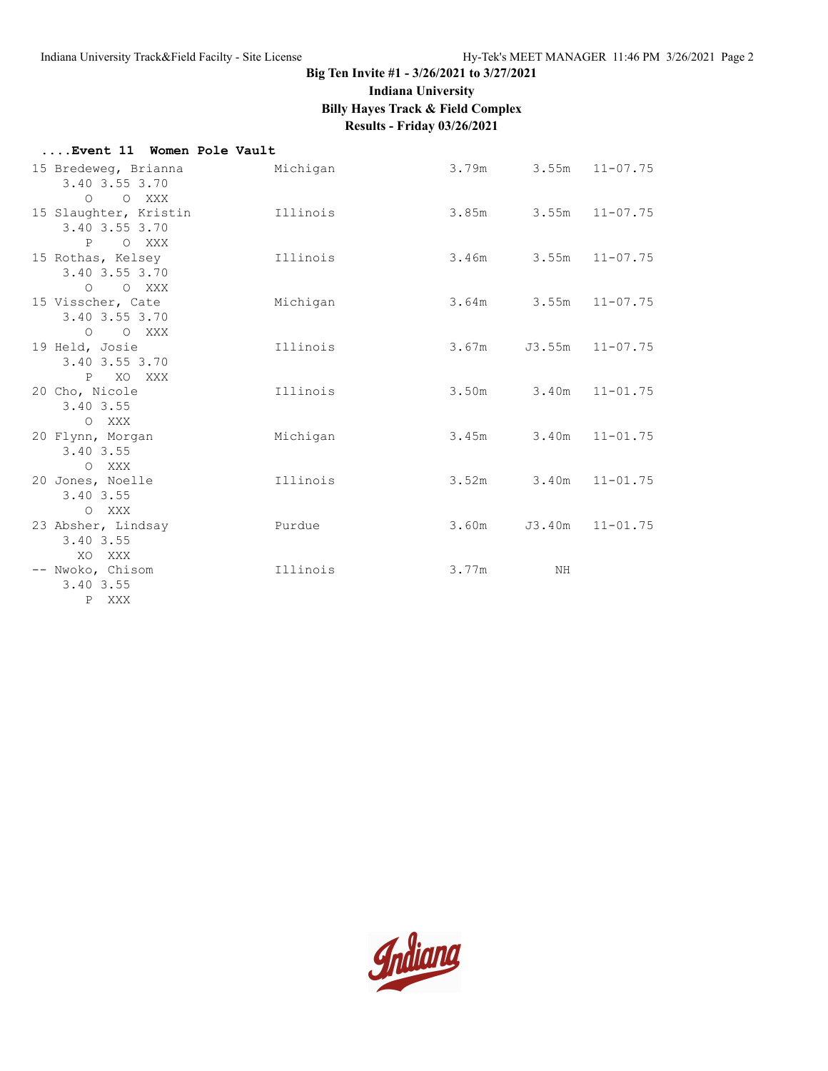**Indiana University**

**Billy Hayes Track & Field Complex**

# **Results - Friday 03/26/2021**

| Event 11 Women Pole Vault                                   |          |                            |                            |                 |
|-------------------------------------------------------------|----------|----------------------------|----------------------------|-----------------|
| 15 Bredeweg, Brianna<br>3.40 3.55 3.70                      | Michigan | $3.79m$ $3.55m$ $11-07.75$ |                            |                 |
| O O XXX<br>15 Slaughter, Kristin 111inois<br>3.40 3.55 3.70 |          |                            | $3.85m$ $3.55m$ $11-07.75$ |                 |
| P O XXX<br>15 Rothas, Kelsey<br>3.40 3.55 3.70              | Illinois | 3.46m 3.55m 11-07.75       |                            |                 |
| O O XXX<br>15 Visscher, Cate<br>3.40 3.55 3.70              | Michigan |                            | 3.64m 3.55m 11-07.75       |                 |
| O O XXX<br>19 Held, Josie<br>3.40 3.55 3.70                 | Illinois | 3.67m                      |                            | J3.55m 11-07.75 |
| P XO XXX<br>20 Cho, Nicole<br>3.40 3.55                     | Illinois |                            | 3.50m 3.40m 11-01.75       |                 |
| O XXX<br>20 Flynn, Morgan<br>3.40 3.55                      | Michigan |                            | 3.45m 3.40m 11-01.75       |                 |
| O XXX<br>20 Jones, Noelle<br>3.40 3.55                      | Illinois |                            | 3.52m 3.40m 11-01.75       |                 |
| O XXX<br>23 Absher, Lindsay<br>3.40 3.55                    | Purdue   | 3.60m                      | J3.40m                     | $11 - 01.75$    |
| XO XXX<br>-- Nwoko, Chisom<br>3.40 3.55                     | Illinois | 3.77m                      | ΝH                         |                 |
| P XXX                                                       |          |                            |                            |                 |

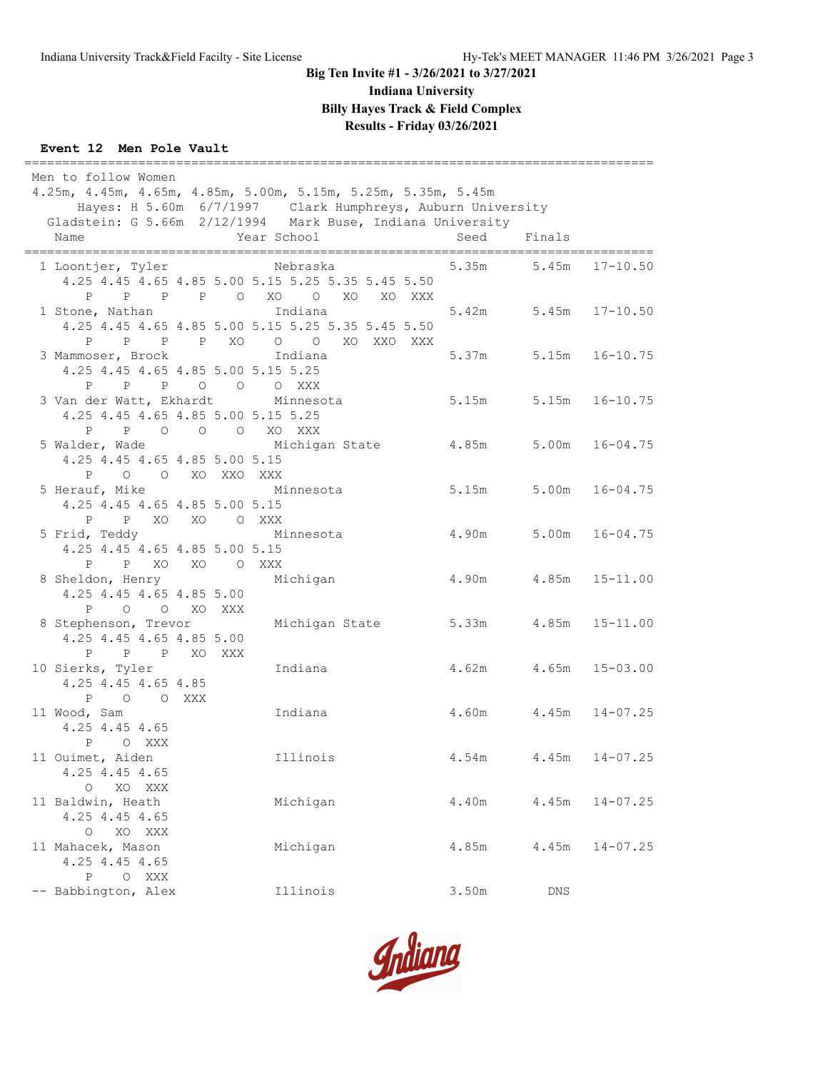**Indiana University**

**Billy Hayes Track & Field Complex**

## **Results - Friday 03/26/2021**

## **Event 12 Men Pole Vault**

| Men to follow Women                                                            |                      |                                                                      |        |                    |  |
|--------------------------------------------------------------------------------|----------------------|----------------------------------------------------------------------|--------|--------------------|--|
| 4.25m, 4.45m, 4.65m, 4.85m, 5.00m, 5.15m, 5.25m, 5.35m, 5.45m                  |                      |                                                                      |        |                    |  |
| Hayes: H 5.60m 6/7/1997 Clark Humphreys, Auburn University                     |                      |                                                                      |        |                    |  |
| Gladstein: G 5.66m 2/12/1994 Mark Buse, Indiana University                     |                      |                                                                      |        |                    |  |
| Name                                                                           | Year School          | Seed                                                                 | Finals |                    |  |
| 1 Loontjer, Tyler Nebraska                                                     |                      | 5.35m 5.45m 17-10.50                                                 |        |                    |  |
|                                                                                |                      |                                                                      |        |                    |  |
| 4.25 4.45 4.65 4.85 5.00 5.15 5.25 5.35 5.45 5.50<br>P P P P O XO O            |                      |                                                                      |        |                    |  |
| 1 Stone, Nathan                                                                | XO XO XXX<br>Indiana | 5.42m 5.45m 17-10.50                                                 |        |                    |  |
|                                                                                |                      |                                                                      |        |                    |  |
| 4.25 4.45 4.65 4.85 5.00 5.15 5.25 5.35 5.45 5.50<br>P P P P XO O O XO XXO XXX |                      |                                                                      |        |                    |  |
|                                                                                |                      | 5.37m 5.15m 16-10.75                                                 |        |                    |  |
| 3 Mammoser, Brock                                                              | Indiana              |                                                                      |        |                    |  |
| 4.25 4.45 4.65 4.85 5.00 5.15 5.25<br>$P \qquad \qquad$                        |                      |                                                                      |        |                    |  |
| P P O O O XXX                                                                  |                      |                                                                      |        |                    |  |
| 3 Van der Watt, Ekhardt Minnesota                                              |                      | 5.15m                                                                |        | $5.15m$ $16-10.75$ |  |
| 4.25 4.45 4.65 4.85 5.00 5.15 5.25                                             |                      |                                                                      |        |                    |  |
| P P O O O XO XXX                                                               |                      |                                                                      |        |                    |  |
| 5 Walder, Wade Michigan State 4.85m                                            |                      |                                                                      |        | $5.00m$ $16-04.75$ |  |
| 4.25 4.45 4.65 4.85 5.00 5.15                                                  |                      |                                                                      |        |                    |  |
| P O O XO XXO XXX                                                               |                      |                                                                      |        |                    |  |
| 5 Herauf, Mike                                                                 | Minnesota            | 5.15m                                                                |        | $5.00m$ $16-04.75$ |  |
| 4.25 4.45 4.65 4.85 5.00 5.15                                                  |                      |                                                                      |        |                    |  |
| P P XO XO O XXX                                                                |                      |                                                                      |        |                    |  |
| 5 Frid, Teddy                                                                  | Minnesota            | 4.90m                                                                |        | $5.00m$ $16-04.75$ |  |
| 4.25 4.45 4.65 4.85 5.00 5.15                                                  |                      |                                                                      |        |                    |  |
| P P XO XO O XXX                                                                |                      |                                                                      |        |                    |  |
| 8 Sheldon, Henry Michigan                                                      |                      | 4.90m                                                                |        | $4.85m$ $15-11.00$ |  |
| 4.25 4.45 4.65 4.85 5.00                                                       |                      |                                                                      |        |                    |  |
| P O O XO XXX                                                                   |                      |                                                                      |        |                    |  |
| 8 Stephenson, Trevor Michigan State                                            |                      | 5.33m 4.85m 15-11.00                                                 |        |                    |  |
| 4.25 4.45 4.65 4.85 5.00                                                       |                      |                                                                      |        |                    |  |
| P P P XO XXX                                                                   |                      |                                                                      |        |                    |  |
| 10 Sierks, Tyler                                                               | Indiana              | $4.62m$ $4.65m$ $15-03.00$                                           |        |                    |  |
| 4.25 4.45 4.65 4.85                                                            |                      |                                                                      |        |                    |  |
| P O O XXX                                                                      |                      |                                                                      |        |                    |  |
| 11 Wood, Sam                                                                   | Indiana              | $4.60m$ $4.45m$ $14-07.25$                                           |        |                    |  |
| 4.25 4.45 4.65                                                                 |                      |                                                                      |        |                    |  |
| P O XXX                                                                        |                      |                                                                      |        |                    |  |
| 11 Ouimet, Aiden                                                               | Illinois             | $4\,\raisebox{1pt}{\text{\circle*{1.5}}}\,54\ensuremath{\mathrm{m}}$ | 4.45m  | $14 - 07.25$       |  |
| 4.25 4.45 4.65                                                                 |                      |                                                                      |        |                    |  |
| O XO XXX                                                                       |                      |                                                                      |        |                    |  |
| 11 Baldwin, Heath                                                              | Michigan             | 4.40m                                                                | 4.45m  | $14 - 07.25$       |  |
| 4.25 4.45 4.65                                                                 |                      |                                                                      |        |                    |  |
| O XO XXX                                                                       |                      |                                                                      |        |                    |  |
| 11 Mahacek, Mason                                                              | Michigan             | 4.85m                                                                | 4.45m  | $14 - 07.25$       |  |
| 4.25 4.45 4.65                                                                 |                      |                                                                      |        |                    |  |
| $\mathbf{P}$<br>O XXX                                                          |                      |                                                                      |        |                    |  |
| -- Babbington, Alex                                                            | Illinois             | 3.50m                                                                | DNS    |                    |  |

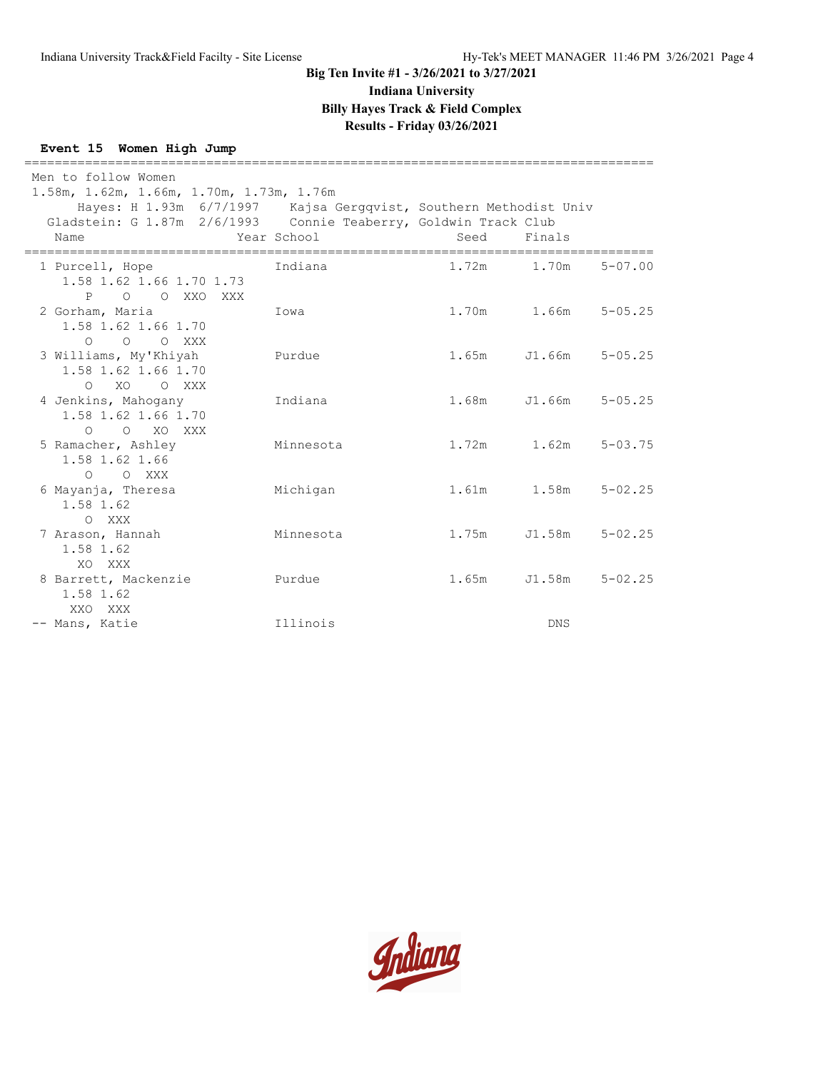**Indiana University**

**Billy Hayes Track & Field Complex**

## **Results - Friday 03/26/2021**

#### **Event 15 Women High Jump**

=================================================================================== Men to follow Women 1.58m, 1.62m, 1.66m, 1.70m, 1.73m, 1.76m Hayes: H 1.93m 6/7/1997 Kajsa Gergqvist, Southern Methodist Univ Gladstein: G 1.87m 2/6/1993 Connie Teaberry, Goldwin Track Club Name Year School Seed Finals =================================================================================== 1 Purcell, Hope Indiana 1.72m 1.70m 5-07.00 1.58 1.62 1.66 1.70 1.73 P O O XXO XXX 2 Gorham, Maria Iowa 1.70m 1.66m 5-05.25 1.58 1.62 1.66 1.70 O O O XXX 3 Williams, My'Khiyah Purdue 1.65m J1.66m 5-05.25 1.58 1.62 1.66 1.70 O XO O XXX 4 Jenkins, Mahogany Indiana 1.68m J1.66m 5-05.25 1.58 1.62 1.66 1.70 O O XO XXX 5 Ramacher, Ashley Minnesota 1.72m 1.62m 5-03.75 1.58 1.62 1.66 O O XXX 6 Mayanja, Theresa Michigan 1.61m 1.58m 5-02.25 1.58 1.62 O XXX 7 Arason, Hannah Minnesota 1.75m J1.58m 5-02.25 1.58 1.62 XO XXX 8 Barrett, Mackenzie Purdue 1.65m J1.58m 5-02.25 1.58 1.62 XXO XXX -- Mans, Katie Illinois DNS

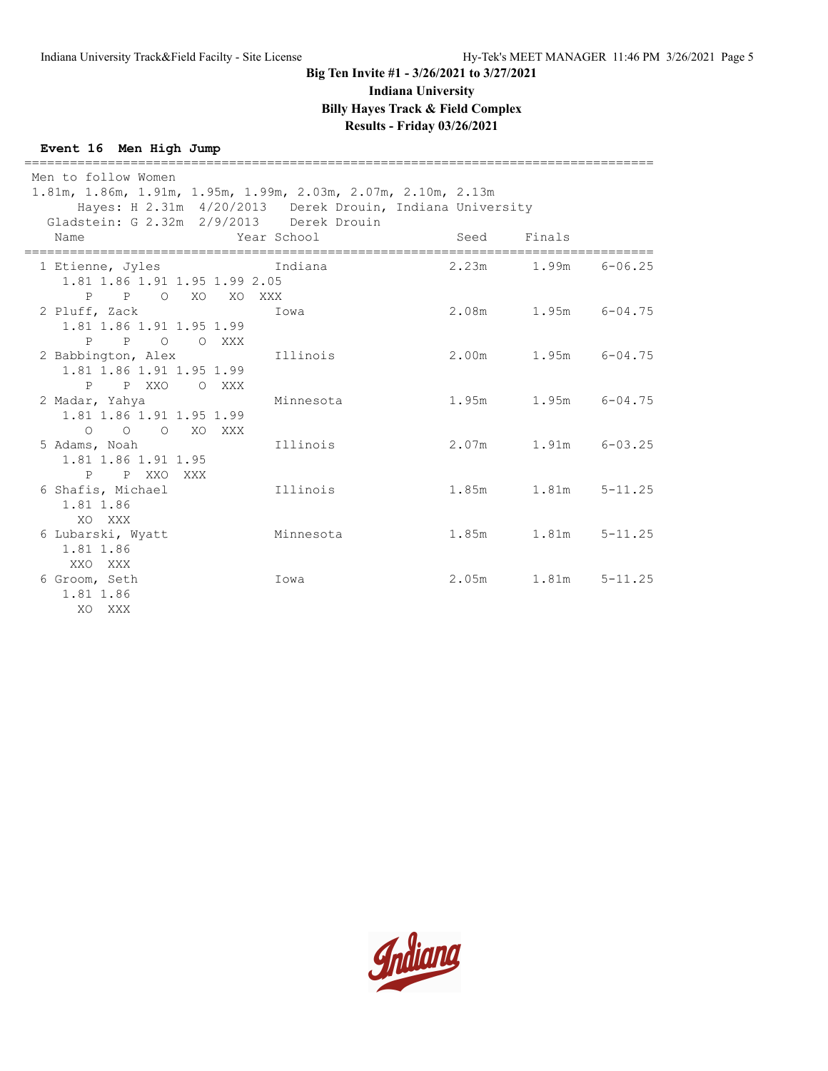**Indiana University**

**Billy Hayes Track & Field Complex**

## **Results - Friday 03/26/2021**

## **Event 16 Men High Jump**

| ========================<br>Men to follow Women<br>$1.81m$ , $1.86m$ , $1.91m$ , $1.95m$ , $1.99m$ , $2.03m$ , $2.07m$ , $2.10m$ , $2.13m$<br>Hayes: H 2.31m 4/20/2013 Derek Drouin, Indiana University |             |             |                           |             |  |
|---------------------------------------------------------------------------------------------------------------------------------------------------------------------------------------------------------|-------------|-------------|---------------------------|-------------|--|
| Gladstein: G 2.32m 2/9/2013 Derek Drouin<br>Name                                                                                                                                                        | Year School | Seed Finals |                           |             |  |
| 1 Etienne, Jyles Charles andiana<br>1.81 1.86 1.91 1.95 1.99 2.05<br>P P O XO XO XXX                                                                                                                    |             |             | $2.23m$ $1.99m$ $6-06.25$ |             |  |
| 2 Pluff, Zack<br>1.81 1.86 1.91 1.95 1.99<br>P P<br>O O XXX                                                                                                                                             | Iowa        |             | 2.08m 1.95m 6-04.75       |             |  |
| 2 Babbington, Alex<br>1.81 1.86 1.91 1.95 1.99<br>P P XXO O XXX                                                                                                                                         | Illinois    |             | 2.00m 1.95m 6-04.75       |             |  |
| 2 Madar, Yahya<br>1.81 1.86 1.91 1.95 1.99<br>O O O XO XXX                                                                                                                                              | Minnesota   |             | $1.95m$ $1.95m$ $6-04.75$ |             |  |
| 5 Adams, Noah<br>1.81 1.86 1.91 1.95<br>P P XXO XXX                                                                                                                                                     | Illinois    |             | $2.07m$ 1.91m 6-03.25     |             |  |
| 6 Shafis, Michael<br>1.81 1.86<br>XO XXX                                                                                                                                                                | Illinois    |             | $1.85m$ $1.81m$           | $5 - 11.25$ |  |
| 6 Lubarski, Wyatt<br>1.81 1.86<br>XXO XXX                                                                                                                                                               | Minnesota   |             | $1.85m$ $1.81m$           | $5 - 11.25$ |  |
| 6 Groom, Seth<br>1.81 1.86<br>XO<br>XXX                                                                                                                                                                 | Iowa        |             | 2.05m 1.81m               | $5 - 11.25$ |  |